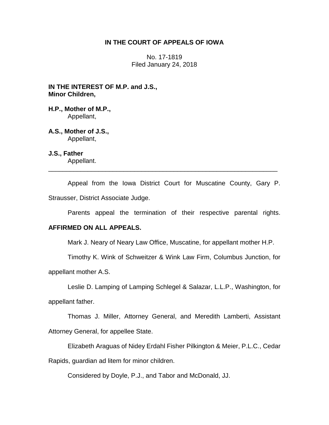# **IN THE COURT OF APPEALS OF IOWA**

No. 17-1819 Filed January 24, 2018

**IN THE INTEREST OF M.P. and J.S., Minor Children,**

**H.P., Mother of M.P.,** Appellant,

**A.S., Mother of J.S.,**  Appellant,

**J.S., Father** Appellant.

Appeal from the Iowa District Court for Muscatine County, Gary P. Strausser, District Associate Judge.

\_\_\_\_\_\_\_\_\_\_\_\_\_\_\_\_\_\_\_\_\_\_\_\_\_\_\_\_\_\_\_\_\_\_\_\_\_\_\_\_\_\_\_\_\_\_\_\_\_\_\_\_\_\_\_\_\_\_\_\_\_\_\_\_

Parents appeal the termination of their respective parental rights.

# **AFFIRMED ON ALL APPEALS.**

Mark J. Neary of Neary Law Office, Muscatine, for appellant mother H.P.

Timothy K. Wink of Schweitzer & Wink Law Firm, Columbus Junction, for

appellant mother A.S.

Leslie D. Lamping of Lamping Schlegel & Salazar, L.L.P., Washington, for

appellant father.

Thomas J. Miller, Attorney General, and Meredith Lamberti, Assistant Attorney General, for appellee State.

Elizabeth Araguas of Nidey Erdahl Fisher Pilkington & Meier, P.L.C., Cedar

Rapids, guardian ad litem for minor children.

Considered by Doyle, P.J., and Tabor and McDonald, JJ.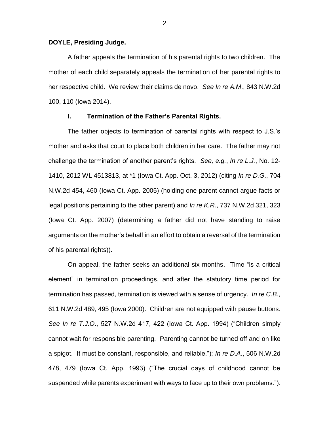## **DOYLE, Presiding Judge.**

A father appeals the termination of his parental rights to two children. The mother of each child separately appeals the termination of her parental rights to her respective child. We review their claims de novo. *See In re A.M*., 843 N.W.2d 100, 110 (Iowa 2014).

## **I. Termination of the Father's Parental Rights.**

The father objects to termination of parental rights with respect to J.S.'s mother and asks that court to place both children in her care. The father may not challenge the termination of another parent's rights. *See, e.g.*, *In re L.J.*, No. 12- 1410, 2012 WL 4513813, at \*1 (Iowa Ct. App. Oct. 3, 2012) (citing *In re D.G*., 704 N.W.2d 454, 460 (Iowa Ct. App. 2005) (holding one parent cannot argue facts or legal positions pertaining to the other parent) and *In re K.R.*, 737 N.W.2d 321, 323 (Iowa Ct. App. 2007) (determining a father did not have standing to raise arguments on the mother's behalf in an effort to obtain a reversal of the termination of his parental rights)).

On appeal, the father seeks an additional six months. Time "is a critical element" in termination proceedings, and after the statutory time period for termination has passed, termination is viewed with a sense of urgency. *In re C.B*., 611 N.W.2d 489, 495 (Iowa 2000). Children are not equipped with pause buttons. *See In re T.J.O*., 527 N.W.2d 417, 422 (Iowa Ct. App. 1994) ("Children simply cannot wait for responsible parenting. Parenting cannot be turned off and on like a spigot. It must be constant, responsible, and reliable."); *In re D.A*., 506 N.W.2d 478, 479 (Iowa Ct. App. 1993) ("The crucial days of childhood cannot be suspended while parents experiment with ways to face up to their own problems.").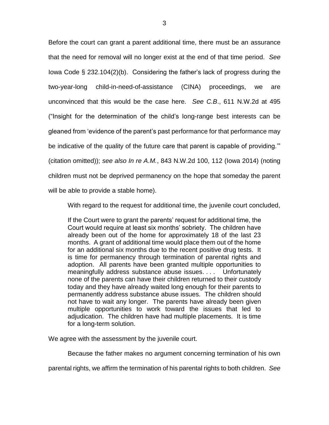Before the court can grant a parent additional time, there must be an assurance that the need for removal will no longer exist at the end of that time period. *See*  Iowa Code § 232.104(2)(b). Considering the father's lack of progress during the two-year-long child-in-need-of-assistance (CINA) proceedings, we are unconvinced that this would be the case here. *See C.B*., 611 N.W.2d at 495 ("Insight for the determination of the child's long-range best interests can be gleaned from 'evidence of the parent's past performance for that performance may be indicative of the quality of the future care that parent is capable of providing.'" (citation omitted)); *see also In re A.M.*, 843 N.W.2d 100, 112 (Iowa 2014) (noting children must not be deprived permanency on the hope that someday the parent will be able to provide a stable home).

With regard to the request for additional time, the juvenile court concluded,

If the Court were to grant the parents' request for additional time, the Court would require at least six months' sobriety. The children have already been out of the home for approximately 18 of the last 23 months. A grant of additional time would place them out of the home for an additional six months due to the recent positive drug tests. It is time for permanency through termination of parental rights and adoption. All parents have been granted multiple opportunities to meaningfully address substance abuse issues. . . . Unfortunately none of the parents can have their children returned to their custody today and they have already waited long enough for their parents to permanently address substance abuse issues. The children should not have to wait any longer. The parents have already been given multiple opportunities to work toward the issues that led to adjudication. The children have had multiple placements. It is time for a long-term solution.

We agree with the assessment by the juvenile court.

Because the father makes no argument concerning termination of his own

parental rights, we affirm the termination of his parental rights to both children. *See*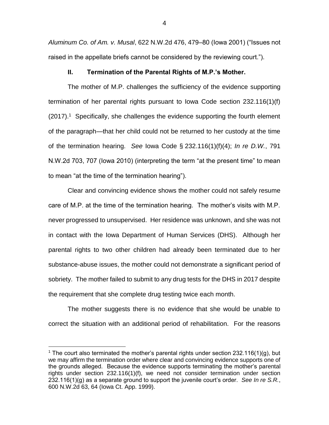*Aluminum Co. of Am. v. Musal*, 622 N.W.2d 476, 479–80 (Iowa 2001) ("Issues not raised in the appellate briefs cannot be considered by the reviewing court.").

## **II. Termination of the Parental Rights of M.P.'s Mother.**

The mother of M.P. challenges the sufficiency of the evidence supporting termination of her parental rights pursuant to Iowa Code section 232.116(1)(f) (2017).<sup>1</sup> Specifically, she challenges the evidence supporting the fourth element of the paragraph—that her child could not be returned to her custody at the time of the termination hearing. *See* Iowa Code § 232.116(1)(f)(4); *In re D.W.*, 791 N.W.2d 703, 707 (Iowa 2010) (interpreting the term "at the present time" to mean to mean "at the time of the termination hearing").

Clear and convincing evidence shows the mother could not safely resume care of M.P. at the time of the termination hearing. The mother's visits with M.P. never progressed to unsupervised. Her residence was unknown, and she was not in contact with the Iowa Department of Human Services (DHS). Although her parental rights to two other children had already been terminated due to her substance-abuse issues, the mother could not demonstrate a significant period of sobriety. The mother failed to submit to any drug tests for the DHS in 2017 despite the requirement that she complete drug testing twice each month.

The mother suggests there is no evidence that she would be unable to correct the situation with an additional period of rehabilitation. For the reasons

 $\overline{a}$ 

<sup>&</sup>lt;sup>1</sup> The court also terminated the mother's parental rights under section 232.116(1)(g), but we may affirm the termination order where clear and convincing evidence supports one of the grounds alleged. Because the evidence supports terminating the mother's parental rights under section 232.116(1)(f), we need not consider termination under section 232.116(1)(g) as a separate ground to support the juvenile court's order. *See In re S.R.*, 600 N.W.2d 63, 64 (Iowa Ct. App. 1999).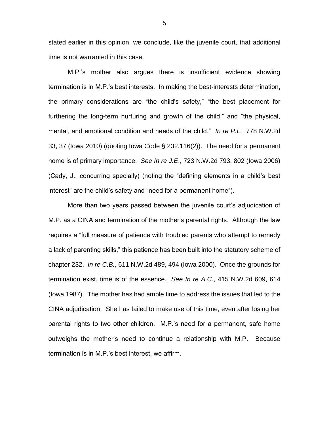stated earlier in this opinion, we conclude, like the juvenile court, that additional time is not warranted in this case.

M.P.'s mother also argues there is insufficient evidence showing termination is in M.P.'s best interests. In making the best-interests determination, the primary considerations are "the child's safety," "the best placement for furthering the long-term nurturing and growth of the child," and "the physical, mental, and emotional condition and needs of the child." *In re P.L.*, 778 N.W.2d 33, 37 (Iowa 2010) (quoting Iowa Code § 232.116(2)). The need for a permanent home is of primary importance. *See In re J.E*., 723 N.W.2d 793, 802 (Iowa 2006) (Cady, J., concurring specially) (noting the "defining elements in a child's best interest" are the child's safety and "need for a permanent home").

More than two years passed between the juvenile court's adjudication of M.P. as a CINA and termination of the mother's parental rights. Although the law requires a "full measure of patience with troubled parents who attempt to remedy a lack of parenting skills," this patience has been built into the statutory scheme of chapter 232. *In re C.B.*, 611 N.W.2d 489, 494 (Iowa 2000). Once the grounds for termination exist, time is of the essence. *See In re A.C*., 415 N.W.2d 609, 614 (Iowa 1987). The mother has had ample time to address the issues that led to the CINA adjudication. She has failed to make use of this time, even after losing her parental rights to two other children. M.P.'s need for a permanent, safe home outweighs the mother's need to continue a relationship with M.P. Because termination is in M.P.'s best interest, we affirm.

5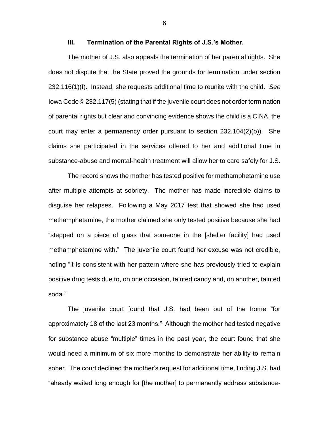The mother of J.S. also appeals the termination of her parental rights. She does not dispute that the State proved the grounds for termination under section 232.116(1)(f). Instead, she requests additional time to reunite with the child. *See*  Iowa Code § 232.117(5) (stating that if the juvenile court does not order termination of parental rights but clear and convincing evidence shows the child is a CINA, the court may enter a permanency order pursuant to section 232.104(2)(b)). She claims she participated in the services offered to her and additional time in substance-abuse and mental-health treatment will allow her to care safely for J.S.

The record shows the mother has tested positive for methamphetamine use after multiple attempts at sobriety. The mother has made incredible claims to disguise her relapses. Following a May 2017 test that showed she had used methamphetamine, the mother claimed she only tested positive because she had "stepped on a piece of glass that someone in the [shelter facility] had used methamphetamine with." The juvenile court found her excuse was not credible, noting "it is consistent with her pattern where she has previously tried to explain positive drug tests due to, on one occasion, tainted candy and, on another, tainted soda."

The juvenile court found that J.S. had been out of the home "for approximately 18 of the last 23 months." Although the mother had tested negative for substance abuse "multiple" times in the past year, the court found that she would need a minimum of six more months to demonstrate her ability to remain sober. The court declined the mother's request for additional time, finding J.S. had "already waited long enough for [the mother] to permanently address substance-

**III. Termination of the Parental Rights of J.S.'s Mother.**